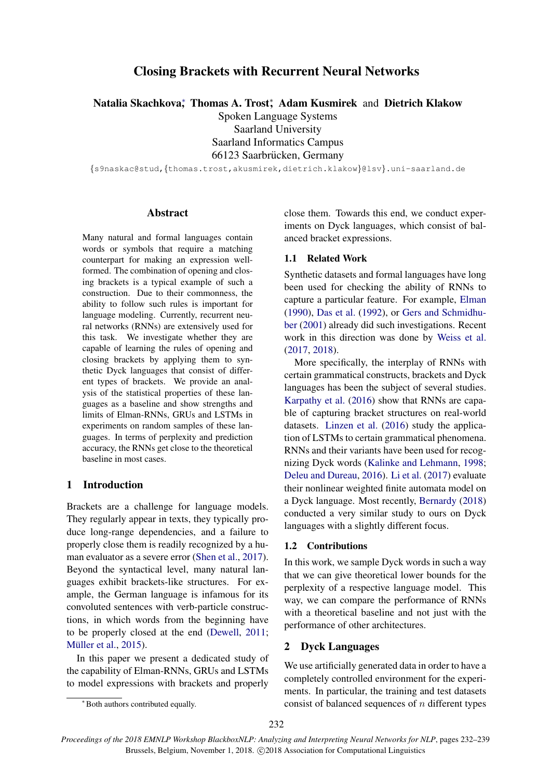# Closing Brackets with Recurrent Neural Networks

Natalia Skachkova<sup>\*</sup>, Thomas A. Trost<sup>\*</sup>, Adam Kusmirek and Dietrich Klakow

Spoken Language Systems Saarland University Saarland Informatics Campus 66123 Saarbrücken, Germany

{s9naskac@stud,{thomas.trost,akusmirek,dietrich.klakow}@lsv}.uni-saarland.de

# **Abstract**

Many natural and formal languages contain words or symbols that require a matching counterpart for making an expression wellformed. The combination of opening and closing brackets is a typical example of such a construction. Due to their commonness, the ability to follow such rules is important for language modeling. Currently, recurrent neural networks (RNNs) are extensively used for this task. We investigate whether they are capable of learning the rules of opening and closing brackets by applying them to synthetic Dyck languages that consist of different types of brackets. We provide an analysis of the statistical properties of these languages as a baseline and show strengths and limits of Elman-RNNs, GRUs and LSTMs in experiments on random samples of these languages. In terms of perplexity and prediction accuracy, the RNNs get close to the theoretical baseline in most cases.

# 1 Introduction

Brackets are a challenge for language models. They regularly appear in texts, they typically produce long-range dependencies, and a failure to properly close them is readily recognized by a human evaluator as a severe error [\(Shen et al.,](#page-7-0) [2017\)](#page-7-0). Beyond the syntactical level, many natural languages exhibit brackets-like structures. For example, the German language is infamous for its convoluted sentences with verb-particle constructions, in which words from the beginning have to be properly closed at the end [\(Dewell,](#page-6-0) [2011;](#page-6-0) Müller et al., [2015\)](#page-6-1).

In this paper we present a dedicated study of the capability of Elman-RNNs, GRUs and LSTMs to model expressions with brackets and properly

close them. Towards this end, we conduct experiments on Dyck languages, which consist of balanced bracket expressions.

# 1.1 Related Work

Synthetic datasets and formal languages have long been used for checking the ability of RNNs to capture a particular feature. For example, [Elman](#page-6-2) [\(1990\)](#page-6-2), [Das et al.](#page-6-3) [\(1992\)](#page-6-3), or [Gers and Schmidhu](#page-6-4)[ber](#page-6-4) [\(2001\)](#page-6-4) already did such investigations. Recent work in this direction was done by [Weiss et al.](#page-7-1) [\(2017,](#page-7-1) [2018\)](#page-7-2).

More specifically, the interplay of RNNs with certain grammatical constructs, brackets and Dyck languages has been the subject of several studies. [Karpathy et al.](#page-6-5) [\(2016\)](#page-6-5) show that RNNs are capable of capturing bracket structures on real-world datasets. [Linzen et al.](#page-6-6) [\(2016\)](#page-6-6) study the application of LSTMs to certain grammatical phenomena. RNNs and their variants have been used for recognizing Dyck words [\(Kalinke and Lehmann,](#page-6-7) [1998;](#page-6-7) [Deleu and Dureau,](#page-6-8) [2016\)](#page-6-8). [Li et al.](#page-6-9) [\(2017\)](#page-6-9) evaluate their nonlinear weighted finite automata model on a Dyck language. Most recently, [Bernardy](#page-6-10) [\(2018\)](#page-6-10) conducted a very similar study to ours on Dyck languages with a slightly different focus.

#### 1.2 Contributions

In this work, we sample Dyck words in such a way that we can give theoretical lower bounds for the perplexity of a respective language model. This way, we can compare the performance of RNNs with a theoretical baseline and not just with the performance of other architectures.

#### 2 Dyck Languages

We use artificially generated data in order to have a completely controlled environment for the experiments. In particular, the training and test datasets consist of balanced sequences of  $n$  different types

<sup>∗</sup>Both authors contributed equally.

*Proceedings of the 2018 EMNLP Workshop BlackboxNLP: Analyzing and Interpreting Neural Networks for NLP*, pages 232–239 Brussels, Belgium, November 1, 2018. C 2018 Association for Computational Linguistics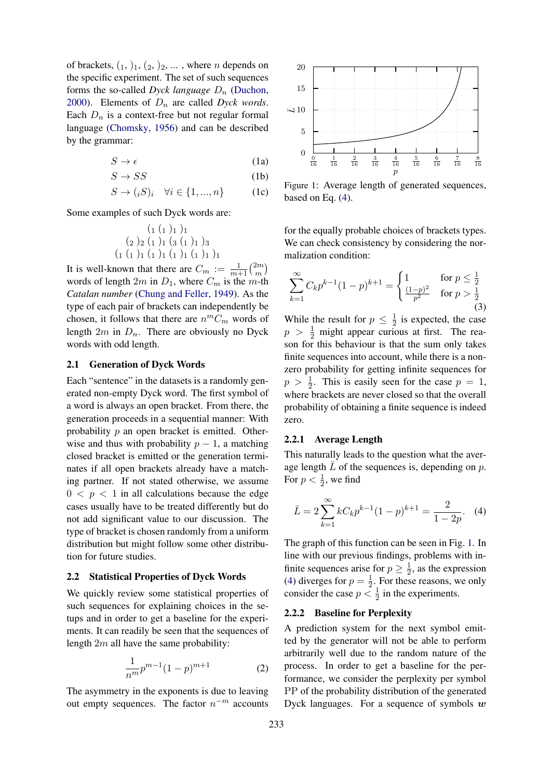of brackets,  $(1, 1), (2, 2), \ldots$ , where *n* depends on the specific experiment. The set of such sequences forms the so-called *Dyck language*  $D_n$  [\(Duchon,](#page-6-11) [2000\)](#page-6-11). Elements of  $D_n$  are called *Dyck words*. Each  $D_n$  is a context-free but not regular formal language [\(Chomsky,](#page-6-12) [1956\)](#page-6-12) and can be described by the grammar:

$$
S \to \epsilon \tag{1a}
$$

$$
S \to SS \tag{1b}
$$

$$
S \to (iS)_i \quad \forall i \in \{1, ..., n\} \tag{1c}
$$

Some examples of such Dyck words are:

$$
\begin{array}{c} (1 (1)1)1 \\ (2)2 (1)1 (3 (1)1)3 \\ (1 (1)1 (1)1 (1)1 (1)1 (1)1)1 \end{array}
$$

It is well-known that there are  $C_m := \frac{1}{m+1} \binom{2m}{m}$  $\binom{2m}{m}$ words of length  $2m$  in  $D_1$ , where  $C_m$  is the m-th *Catalan number* [\(Chung and Feller,](#page-6-13) [1949\)](#page-6-13). As the type of each pair of brackets can independently be chosen, it follows that there are  $n^mC_m$  words of length  $2m$  in  $D_n$ . There are obviously no Dyck words with odd length.

## <span id="page-1-2"></span>2.1 Generation of Dyck Words

Each "sentence" in the datasets is a randomly generated non-empty Dyck word. The first symbol of a word is always an open bracket. From there, the generation proceeds in a sequential manner: With probability p an open bracket is emitted. Otherwise and thus with probability  $p - 1$ , a matching closed bracket is emitted or the generation terminates if all open brackets already have a matching partner. If not stated otherwise, we assume  $0 < p < 1$  in all calculations because the edge cases usually have to be treated differently but do not add significant value to our discussion. The type of bracket is chosen randomly from a uniform distribution but might follow some other distribution for future studies.

#### 2.2 Statistical Properties of Dyck Words

We quickly review some statistical properties of such sequences for explaining choices in the setups and in order to get a baseline for the experiments. It can readily be seen that the sequences of length  $2m$  all have the same probability:

$$
\frac{1}{n^m}p^{m-1}(1-p)^{m+1}
$$
 (2)

The asymmetry in the exponents is due to leaving out empty sequences. The factor  $n^{-m}$  accounts

<span id="page-1-1"></span>

Figure 1: Average length of generated sequences, based on Eq. [\(4\)](#page-1-0).

for the equally probable choices of brackets types. We can check consistency by considering the normalization condition:

$$
\sum_{k=1}^{\infty} C_k p^{k-1} (1-p)^{k+1} = \begin{cases} 1 & \text{for } p \le \frac{1}{2} \\ \frac{(1-p)^2}{p^2} & \text{for } p > \frac{1}{2} \end{cases}
$$
(3)

While the result for  $p \leq \frac{1}{2}$  $\frac{1}{2}$  is expected, the case  $p > \frac{1}{2}$  might appear curious at first. The reason for this behaviour is that the sum only takes finite sequences into account, while there is a nonzero probability for getting infinite sequences for  $p > \frac{1}{2}$ . This is easily seen for the case  $p = 1$ , where brackets are never closed so that the overall probability of obtaining a finite sequence is indeed zero.

#### 2.2.1 Average Length

This naturally leads to the question what the average length  $L$  of the sequences is, depending on  $p$ . For  $p < \frac{1}{2}$ , we find

<span id="page-1-0"></span>
$$
\bar{L} = 2\sum_{k=1}^{\infty} kC_k p^{k-1} (1-p)^{k+1} = \frac{2}{1-2p}.
$$
 (4)

The graph of this function can be seen in Fig. [1.](#page-1-1) In line with our previous findings, problems with infinite sequences arise for  $p \geq \frac{1}{2}$  $\frac{1}{2}$ , as the expression [\(4\)](#page-1-0) diverges for  $p = \frac{1}{2}$  $\frac{1}{2}$ . For these reasons, we only consider the case  $p < \frac{1}{2}$  in the experiments.

#### 2.2.2 Baseline for Perplexity

A prediction system for the next symbol emitted by the generator will not be able to perform arbitrarily well due to the random nature of the process. In order to get a baseline for the performance, we consider the perplexity per symbol PP of the probability distribution of the generated Dyck languages. For a sequence of symbols  $w$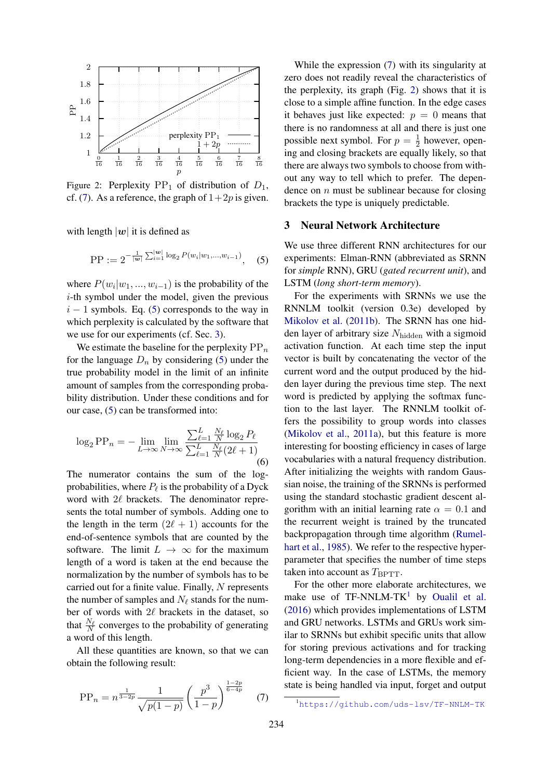<span id="page-2-3"></span>

Figure 2: Perplexity  $PP_1$  of distribution of  $D_1$ , cf. [\(7\)](#page-2-0). As a reference, the graph of  $1+2p$  is given.

with length  $|w|$  it is defined as

$$
\text{PP} := 2^{-\frac{1}{|\mathbf{w}|} \sum_{i=1}^{|\mathbf{w}|} \log_2 P(w_i|w_1,\dots,w_{i-1})}, \quad (5)
$$

where  $P(w_i|w_1, ..., w_{i-1})$  is the probability of the i-th symbol under the model, given the previous  $i - 1$  symbols. Eq. [\(5\)](#page-2-1) corresponds to the way in which perplexity is calculated by the software that we use for our experiments (cf. Sec. [3\)](#page-2-2).

We estimate the baseline for the perplexity  $PP_n$ for the language  $D_n$  by considering [\(5\)](#page-2-1) under the true probability model in the limit of an infinite amount of samples from the corresponding probability distribution. Under these conditions and for our case, [\(5\)](#page-2-1) can be transformed into:

$$
\log_2 \text{PP}_n = -\lim_{L \to \infty} \lim_{N \to \infty} \frac{\sum_{\ell=1}^L \frac{N_\ell}{N} \log_2 P_\ell}{\sum_{\ell=1}^L \frac{N_\ell}{N} (2\ell + 1)}
$$
(6)

The numerator contains the sum of the logprobabilities, where  $P_\ell$  is the probability of a Dyck word with  $2\ell$  brackets. The denominator represents the total number of symbols. Adding one to the length in the term  $(2\ell + 1)$  accounts for the end-of-sentence symbols that are counted by the software. The limit  $L \to \infty$  for the maximum length of a word is taken at the end because the normalization by the number of symbols has to be carried out for a finite value. Finally,  $N$  represents the number of samples and  $N_\ell$  stands for the number of words with  $2\ell$  brackets in the dataset, so that  $\frac{N_{\ell}}{N}$  converges to the probability of generating a word of this length.

All these quantities are known, so that we can obtain the following result:

<span id="page-2-0"></span>
$$
PP_n = n^{\frac{1}{3-2p}} \frac{1}{\sqrt{p(1-p)}} \left(\frac{p^3}{1-p}\right)^{\frac{1-2p}{6-4p}} \quad (7)
$$

While the expression [\(7\)](#page-2-0) with its singularity at zero does not readily reveal the characteristics of the perplexity, its graph (Fig. [2\)](#page-2-3) shows that it is close to a simple affine function. In the edge cases it behaves just like expected:  $p = 0$  means that there is no randomness at all and there is just one possible next symbol. For  $p = \frac{1}{2}$  $\frac{1}{2}$  however, opening and closing brackets are equally likely, so that there are always two symbols to choose from without any way to tell which to prefer. The dependence on  $n$  must be sublinear because for closing brackets the type is uniquely predictable.

#### <span id="page-2-2"></span><span id="page-2-1"></span>3 Neural Network Architecture

We use three different RNN architectures for our experiments: Elman-RNN (abbreviated as SRNN for *simple* RNN), GRU (*gated recurrent unit*), and LSTM (*long short-term memory*).

For the experiments with SRNNs we use the RNNLM toolkit (version 0.3e) developed by [Mikolov et al.](#page-6-14) [\(2011b\)](#page-6-14). The SRNN has one hidden layer of arbitrary size  $N_{\text{hidden}}$  with a sigmoid activation function. At each time step the input vector is built by concatenating the vector of the current word and the output produced by the hidden layer during the previous time step. The next word is predicted by applying the softmax function to the last layer. The RNNLM toolkit offers the possibility to group words into classes [\(Mikolov et al.,](#page-6-15) [2011a\)](#page-6-15), but this feature is more interesting for boosting efficiency in cases of large vocabularies with a natural frequency distribution. After initializing the weights with random Gaussian noise, the training of the SRNNs is performed using the standard stochastic gradient descent algorithm with an initial learning rate  $\alpha = 0.1$  and the recurrent weight is trained by the truncated backpropagation through time algorithm [\(Rumel](#page-7-3)[hart et al.,](#page-7-3) [1985\)](#page-7-3). We refer to the respective hyperparameter that specifies the number of time steps taken into account as  $T_{\text{BPTT}}$ .

For the other more elaborate architectures, we make use of  $TF-NNLM-TK<sup>1</sup>$  $TF-NNLM-TK<sup>1</sup>$  $TF-NNLM-TK<sup>1</sup>$  by [Oualil et al.](#page-7-4) [\(2016\)](#page-7-4) which provides implementations of LSTM and GRU networks. LSTMs and GRUs work similar to SRNNs but exhibit specific units that allow for storing previous activations and for tracking long-term dependencies in a more flexible and efficient way. In the case of LSTMs, the memory state is being handled via input, forget and output

<span id="page-2-4"></span><sup>1</sup><https://github.com/uds-lsv/TF-NNLM-TK>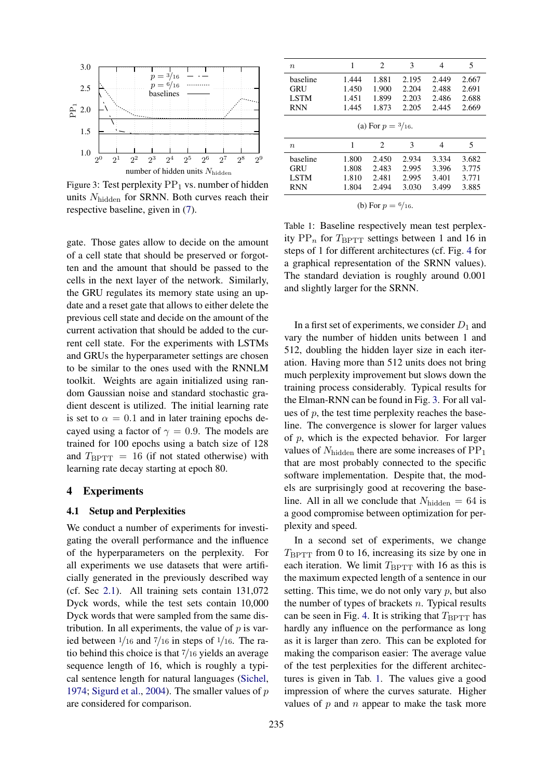<span id="page-3-0"></span>

Figure 3: Test perplexity  $PP_1$  vs. number of hidden units  $N_{\text{hidden}}$  for SRNN. Both curves reach their respective baseline, given in [\(7\)](#page-2-0).

gate. Those gates allow to decide on the amount of a cell state that should be preserved or forgotten and the amount that should be passed to the cells in the next layer of the network. Similarly, the GRU regulates its memory state using an update and a reset gate that allows to either delete the previous cell state and decide on the amount of the current activation that should be added to the current cell state. For the experiments with LSTMs and GRUs the hyperparameter settings are chosen to be similar to the ones used with the RNNLM toolkit. Weights are again initialized using random Gaussian noise and standard stochastic gradient descent is utilized. The initial learning rate is set to  $\alpha = 0.1$  and in later training epochs decayed using a factor of  $\gamma = 0.9$ . The models are trained for 100 epochs using a batch size of 128 and  $T_{\text{BPTT}} = 16$  (if not stated otherwise) with learning rate decay starting at epoch 80.

# 4 Experiments

#### 4.1 Setup and Perplexities

We conduct a number of experiments for investigating the overall performance and the influence of the hyperparameters on the perplexity. For all experiments we use datasets that were artificially generated in the previously described way (cf. Sec [2.1\)](#page-1-2). All training sets contain 131,072 Dyck words, while the test sets contain 10,000 Dyck words that were sampled from the same distribution. In all experiments, the value of  $p$  is varied between  $\frac{1}{16}$  and  $\frac{7}{16}$  in steps of  $\frac{1}{16}$ . The ratio behind this choice is that 7/16 yields an average sequence length of 16, which is roughly a typical sentence length for natural languages [\(Sichel,](#page-7-5) [1974;](#page-7-5) [Sigurd et al.,](#page-7-6) [2004\)](#page-7-6). The smaller values of  $p$ are considered for comparison.

<span id="page-3-1"></span>

| $\boldsymbol{n}$             | 1     | 2              | 3     | 4     | 5     |  |  |  |
|------------------------------|-------|----------------|-------|-------|-------|--|--|--|
| baseline                     | 1.444 | 1.881          | 2.195 | 2.449 | 2.667 |  |  |  |
| GRU                          | 1.450 | 1.900          | 2.204 | 2.488 | 2.691 |  |  |  |
| <b>LSTM</b>                  | 1.451 | 1.899          | 2.203 | 2.486 | 2.688 |  |  |  |
| <b>RNN</b>                   | 1.445 | 1.873          | 2.205 | 2.445 | 2.669 |  |  |  |
| (a) For $p = \frac{3}{16}$ . |       |                |       |       |       |  |  |  |
| $\boldsymbol{n}$             | 1     | $\mathfrak{D}$ | 3     | 4     | 5     |  |  |  |
| baseline                     | 1.800 | 2.450          | 2.934 | 3.334 | 3.682 |  |  |  |
| GRU                          | 1.808 | 2.483          | 2.995 | 3.396 | 3.775 |  |  |  |
| <b>LSTM</b>                  | 1.810 | 2.481          | 2.995 | 3.401 | 3.771 |  |  |  |
| <b>RNN</b>                   | 1.804 | 2.494          | 3.030 | 3.499 | 3.885 |  |  |  |

(b) For  $p = \frac{6}{16}$ .

Table 1: Baseline respectively mean test perplexity  $PP_n$  for  $T_{BPTT}$  settings between 1 and 16 in steps of 1 for different architectures (cf. Fig. [4](#page-4-0) for a graphical representation of the SRNN values). The standard deviation is roughly around 0.001 and slightly larger for the SRNN.

In a first set of experiments, we consider  $D_1$  and vary the number of hidden units between 1 and 512, doubling the hidden layer size in each iteration. Having more than 512 units does not bring much perplexity improvement but slows down the training process considerably. Typical results for the Elman-RNN can be found in Fig. [3.](#page-3-0) For all values of  $p$ , the test time perplexity reaches the baseline. The convergence is slower for larger values of p, which is the expected behavior. For larger values of  $N_{\text{hidden}}$  there are some increases of  $PP_1$ that are most probably connected to the specific software implementation. Despite that, the models are surprisingly good at recovering the baseline. All in all we conclude that  $N_{\text{hidden}} = 64$  is a good compromise between optimization for perplexity and speed.

In a second set of experiments, we change  $T_{\text{BPTT}}$  from 0 to 16, increasing its size by one in each iteration. We limit  $T_{\text{BPTT}}$  with 16 as this is the maximum expected length of a sentence in our setting. This time, we do not only vary  $p$ , but also the number of types of brackets  $n$ . Typical results can be seen in Fig. [4.](#page-4-0) It is striking that  $T_{\text{BPTT}}$  has hardly any influence on the performance as long as it is larger than zero. This can be exploted for making the comparison easier: The average value of the test perplexities for the different architectures is given in Tab. [1.](#page-3-1) The values give a good impression of where the curves saturate. Higher values of  $p$  and  $n$  appear to make the task more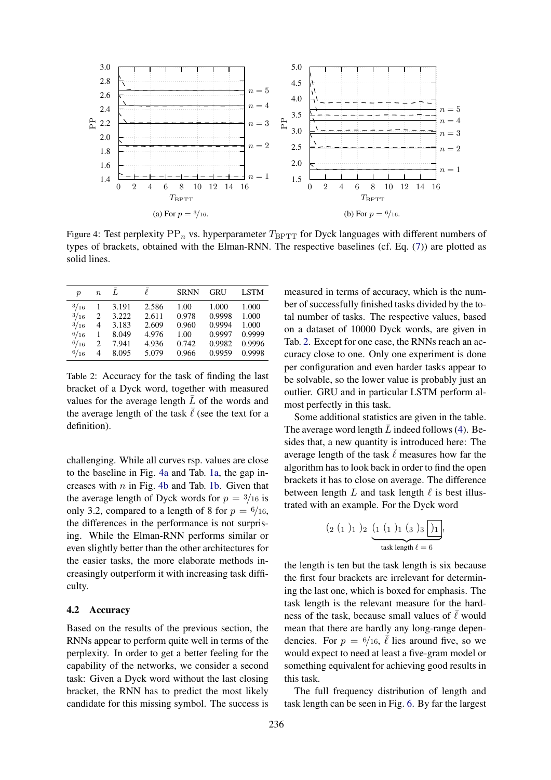<span id="page-4-0"></span>

Figure 4: Test perplexity  $PP_n$  vs. hyperparameter  $T_{\text{BPTT}}$  for Dyck languages with different numbers of types of brackets, obtained with the Elman-RNN. The respective baselines (cf. Eq. [\(7\)](#page-2-0)) are plotted as solid lines.

<span id="page-4-1"></span>

| $\boldsymbol{p}$ | $\boldsymbol{n}$              |       | l     | <b>SRNN</b> | <b>GRU</b> | <b>LSTM</b> |
|------------------|-------------------------------|-------|-------|-------------|------------|-------------|
| $^{3/16}$        |                               | 3.191 | 2.586 | 1.00        | 1.000      | 1.000       |
| 3/16             | $\mathfrak{D}_{\mathfrak{p}}$ | 3.222 | 2.611 | 0.978       | 0.9998     | 1.000       |
| $^{3/16}$        | 4                             | 3.183 | 2.609 | 0.960       | 0.9994     | 1.000       |
| 6/16             | 1                             | 8.049 | 4.976 | 1.00        | 0.9997     | 0.9999      |
| $^{6/16}$        | 2                             | 7.941 | 4.936 | 0.742       | 0.9982     | 0.9996      |
| 6/16             | 4                             | 8.095 | 5.079 | 0.966       | 0.9959     | 0.9998      |

Table 2: Accuracy for the task of finding the last bracket of a Dyck word, together with measured values for the average length  $\overline{L}$  of the words and the average length of the task  $\overline{\ell}$  (see the text for a definition).

challenging. While all curves rsp. values are close to the baseline in Fig. [4a](#page-4-0) and Tab. [1a,](#page-3-1) the gap increases with  $n$  in Fig. [4b](#page-4-0) and Tab. [1b.](#page-3-1) Given that the average length of Dyck words for  $p = \frac{3}{16}$  is only 3.2, compared to a length of 8 for  $p = \frac{6}{16}$ , the differences in the performance is not surprising. While the Elman-RNN performs similar or even slightly better than the other architectures for the easier tasks, the more elaborate methods increasingly outperform it with increasing task difficulty.

#### 4.2 Accuracy

Based on the results of the previous section, the RNNs appear to perform quite well in terms of the perplexity. In order to get a better feeling for the capability of the networks, we consider a second task: Given a Dyck word without the last closing bracket, the RNN has to predict the most likely candidate for this missing symbol. The success is

measured in terms of accuracy, which is the number of successfully finished tasks divided by the total number of tasks. The respective values, based on a dataset of 10000 Dyck words, are given in Tab. [2.](#page-4-1) Except for one case, the RNNs reach an accuracy close to one. Only one experiment is done per configuration and even harder tasks appear to be solvable, so the lower value is probably just an outlier. GRU and in particular LSTM perform almost perfectly in this task.

Some additional statistics are given in the table. The average word length  $\overline{L}$  indeed follows [\(4\)](#page-1-0). Besides that, a new quantity is introduced here: The average length of the task  $\overline{\ell}$  measures how far the algorithm has to look back in order to find the open brackets it has to close on average. The difference between length  $L$  and task length  $\ell$  is best illustrated with an example. For the Dyck word

$$
(2 (1)1)2 \underbrace{(1 (1)1 (3)3)}_{\text{task length }\ell = 6}
$$

the length is ten but the task length is six because the first four brackets are irrelevant for determining the last one, which is boxed for emphasis. The task length is the relevant measure for the hardness of the task, because small values of  $\bar{\ell}$  would mean that there are hardly any long-range dependencies. For  $p = 6/16$ ,  $\overline{l}$  lies around five, so we would expect to need at least a five-gram model or something equivalent for achieving good results in this task.

The full frequency distribution of length and task length can be seen in Fig. [6.](#page-5-0) By far the largest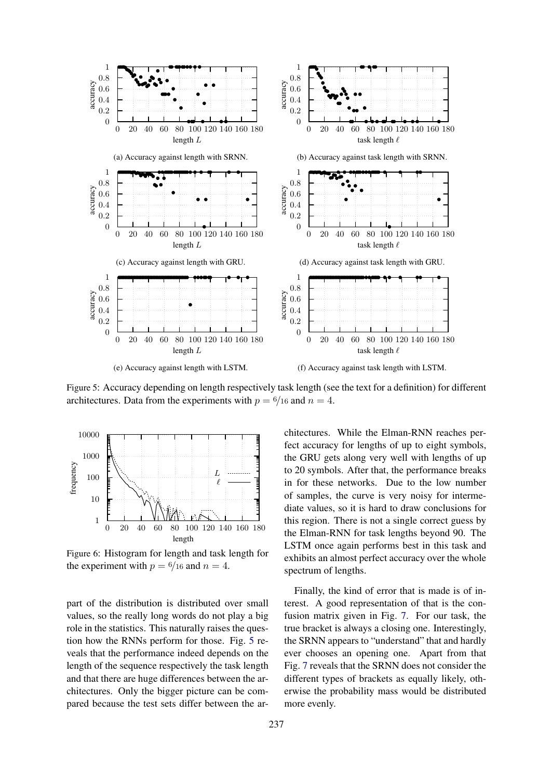<span id="page-5-1"></span>

Figure 5: Accuracy depending on length respectively task length (see the text for a definition) for different architectures. Data from the experiments with  $p = \frac{6}{16}$  and  $n = 4$ .

<span id="page-5-0"></span>

Figure 6: Histogram for length and task length for the experiment with  $p = 6/16$  and  $n = 4$ .

part of the distribution is distributed over small values, so the really long words do not play a big role in the statistics. This naturally raises the question how the RNNs perform for those. Fig. [5](#page-5-1) reveals that the performance indeed depends on the length of the sequence respectively the task length and that there are huge differences between the architectures. Only the bigger picture can be compared because the test sets differ between the architectures. While the Elman-RNN reaches perfect accuracy for lengths of up to eight symbols, the GRU gets along very well with lengths of up to 20 symbols. After that, the performance breaks in for these networks. Due to the low number of samples, the curve is very noisy for intermediate values, so it is hard to draw conclusions for this region. There is not a single correct guess by the Elman-RNN for task lengths beyond 90. The LSTM once again performs best in this task and exhibits an almost perfect accuracy over the whole spectrum of lengths.

Finally, the kind of error that is made is of interest. A good representation of that is the confusion matrix given in Fig. [7.](#page-6-16) For our task, the true bracket is always a closing one. Interestingly, the SRNN appears to "understand" that and hardly ever chooses an opening one. Apart from that Fig. [7](#page-6-16) reveals that the SRNN does not consider the different types of brackets as equally likely, otherwise the probability mass would be distributed more evenly.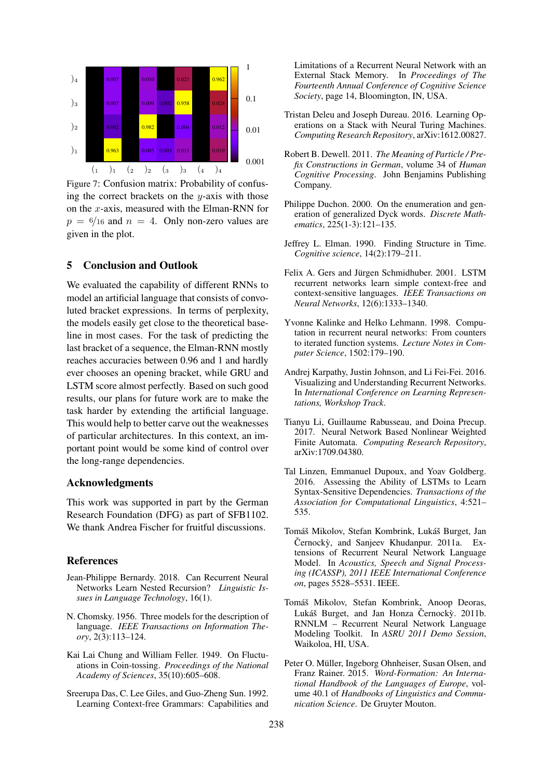<span id="page-6-16"></span>

Figure 7: Confusion matrix: Probability of confusing the correct brackets on the  $y$ -axis with those on the x-axis, measured with the Elman-RNN for  $p = 6/16$  and  $n = 4$ . Only non-zero values are given in the plot.

# 5 Conclusion and Outlook

We evaluated the capability of different RNNs to model an artificial language that consists of convoluted bracket expressions. In terms of perplexity, the models easily get close to the theoretical baseline in most cases. For the task of predicting the last bracket of a sequence, the Elman-RNN mostly reaches accuracies between 0.96 and 1 and hardly ever chooses an opening bracket, while GRU and LSTM score almost perfectly. Based on such good results, our plans for future work are to make the task harder by extending the artificial language. This would help to better carve out the weaknesses of particular architectures. In this context, an important point would be some kind of control over the long-range dependencies.

#### Acknowledgments

This work was supported in part by the German Research Foundation (DFG) as part of SFB1102. We thank Andrea Fischer for fruitful discussions.

#### References

- <span id="page-6-10"></span>Jean-Philippe Bernardy. 2018. Can Recurrent Neural Networks Learn Nested Recursion? *Linguistic Issues in Language Technology*, 16(1).
- <span id="page-6-12"></span>N. Chomsky. 1956. Three models for the description of language. *IEEE Transactions on Information Theory*, 2(3):113–124.
- <span id="page-6-13"></span>Kai Lai Chung and William Feller. 1949. On Fluctuations in Coin-tossing. *Proceedings of the National Academy of Sciences*, 35(10):605–608.
- <span id="page-6-3"></span>Sreerupa Das, C. Lee Giles, and Guo-Zheng Sun. 1992. Learning Context-free Grammars: Capabilities and

Limitations of a Recurrent Neural Network with an External Stack Memory. In *Proceedings of The Fourteenth Annual Conference of Cognitive Science Society*, page 14, Bloomington, IN, USA.

- <span id="page-6-8"></span>Tristan Deleu and Joseph Dureau. 2016. Learning Operations on a Stack with Neural Turing Machines. *Computing Research Repository*, arXiv:1612.00827.
- <span id="page-6-0"></span>Robert B. Dewell. 2011. *The Meaning of Particle / Prefix Constructions in German*, volume 34 of *Human Cognitive Processing*. John Benjamins Publishing Company.
- <span id="page-6-11"></span>Philippe Duchon. 2000. On the enumeration and generation of generalized Dyck words. *Discrete Mathematics*, 225(1-3):121–135.
- <span id="page-6-2"></span>Jeffrey L. Elman. 1990. Finding Structure in Time. *Cognitive science*, 14(2):179–211.
- <span id="page-6-4"></span>Felix A. Gers and Jürgen Schmidhuber. 2001. LSTM recurrent networks learn simple context-free and context-sensitive languages. *IEEE Transactions on Neural Networks*, 12(6):1333–1340.
- <span id="page-6-7"></span>Yvonne Kalinke and Helko Lehmann. 1998. Computation in recurrent neural networks: From counters to iterated function systems. *Lecture Notes in Computer Science*, 1502:179–190.
- <span id="page-6-5"></span>Andrej Karpathy, Justin Johnson, and Li Fei-Fei. 2016. Visualizing and Understanding Recurrent Networks. In *International Conference on Learning Representations, Workshop Track*.
- <span id="page-6-9"></span>Tianyu Li, Guillaume Rabusseau, and Doina Precup. 2017. Neural Network Based Nonlinear Weighted Finite Automata. *Computing Research Repository*, arXiv:1709.04380.
- <span id="page-6-6"></span>Tal Linzen, Emmanuel Dupoux, and Yoav Goldberg. 2016. Assessing the Ability of LSTMs to Learn Syntax-Sensitive Dependencies. *Transactions of the Association for Computational Linguistics*, 4:521– 535.
- <span id="page-6-15"></span>Tomáš Mikolov, Stefan Kombrink, Lukáš Burget, Jan Černocký, and Sanjeev Khudanpur.  $2011a$ . Extensions of Recurrent Neural Network Language Model. In *Acoustics, Speech and Signal Processing (ICASSP), 2011 IEEE International Conference on*, pages 5528–5531. IEEE.
- <span id="page-6-14"></span>Tomáš Mikolov, Stefan Kombrink, Anoop Deoras, Lukáš Burget, and Jan Honza Černocký. 2011b. RNNLM – Recurrent Neural Network Language Modeling Toolkit. In *ASRU 2011 Demo Session*, Waikoloa, HI, USA.
- <span id="page-6-1"></span>Peter O. Müller, Ingeborg Ohnheiser, Susan Olsen, and Franz Rainer. 2015. *Word-Formation: An International Handbook of the Languages of Europe*, volume 40.1 of *Handbooks of Linguistics and Communication Science*. De Gruyter Mouton.